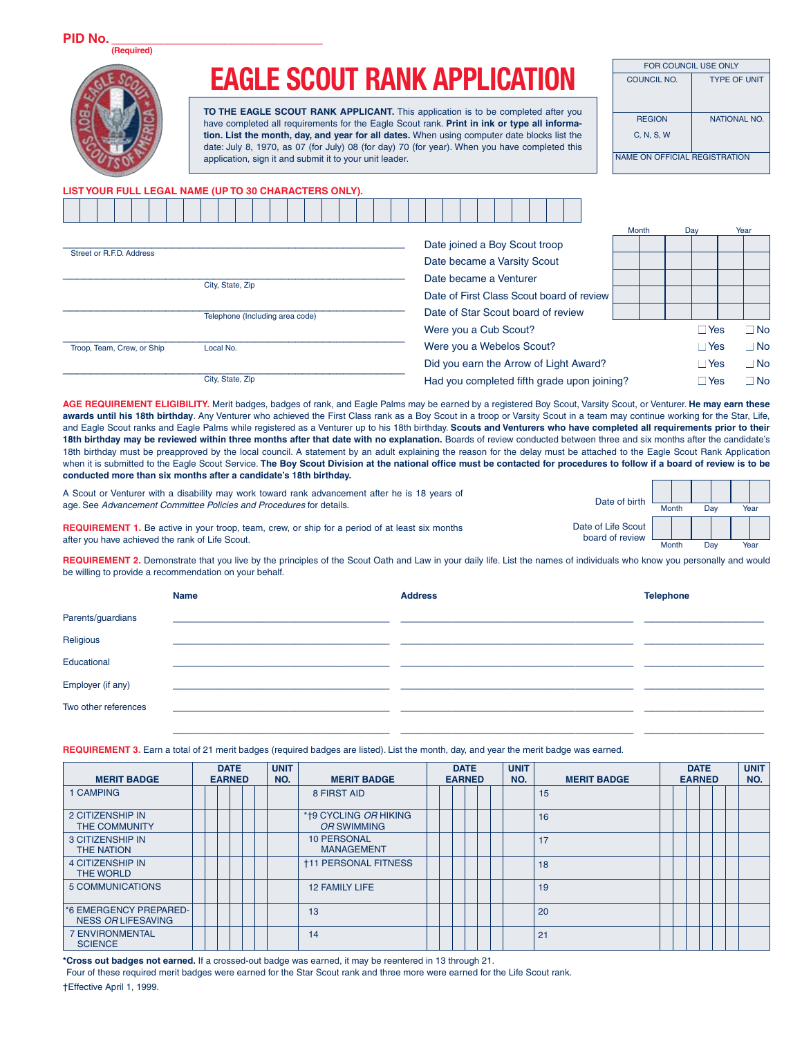## **EAGLE SCOUT RANK APPLICATION**

**TO THE EAGLE SCOUT RANK APPLICANT.** This application is to be completed after you have completed all requirements for the Eagle Scout rank. **Print in ink or type all information. List the month, day, and year for all dates.** When using computer date blocks list the date: July 8, 1970, as 07 (for July) 08 (for day) 70 (for year). When you have completed this application, sign it and submit it to your unit leader.

| FOR COUNCIL USE ONLY                 |                     |  |  |  |  |  |  |  |  |  |  |  |
|--------------------------------------|---------------------|--|--|--|--|--|--|--|--|--|--|--|
| COUNCIL NO.                          | <b>TYPE OF UNIT</b> |  |  |  |  |  |  |  |  |  |  |  |
|                                      |                     |  |  |  |  |  |  |  |  |  |  |  |
| <b>REGION</b>                        | <b>NATIONAL NO.</b> |  |  |  |  |  |  |  |  |  |  |  |
| C, N, S, W                           |                     |  |  |  |  |  |  |  |  |  |  |  |
| <b>NAME ON OFFICIAL REGISTRATION</b> |                     |  |  |  |  |  |  |  |  |  |  |  |

## **LIST YOUR FULL LEGAL NAME (UP TO 30 CHARACTERS ONLY).**

|  |                            |  |  |                                 |  |  |  |  |  |  |  |                                    |  |  |  |                                           |                                             | Month |  | Day        | Year |              |
|--|----------------------------|--|--|---------------------------------|--|--|--|--|--|--|--|------------------------------------|--|--|--|-------------------------------------------|---------------------------------------------|-------|--|------------|------|--------------|
|  |                            |  |  |                                 |  |  |  |  |  |  |  | Date joined a Boy Scout troop      |  |  |  |                                           |                                             |       |  |            |      |              |
|  | Street or R.F.D. Address   |  |  |                                 |  |  |  |  |  |  |  | Date became a Varsity Scout        |  |  |  |                                           |                                             |       |  |            |      |              |
|  |                            |  |  | City, State, Zip                |  |  |  |  |  |  |  | Date became a Venturer             |  |  |  |                                           |                                             |       |  |            |      |              |
|  |                            |  |  |                                 |  |  |  |  |  |  |  |                                    |  |  |  | Date of First Class Scout board of review |                                             |       |  |            |      |              |
|  |                            |  |  | Telephone (Including area code) |  |  |  |  |  |  |  | Date of Star Scout board of review |  |  |  |                                           |                                             |       |  |            |      |              |
|  |                            |  |  |                                 |  |  |  |  |  |  |  | Were you a Cub Scout?              |  |  |  |                                           |                                             |       |  | $\Box$ Yes |      | $\square$ No |
|  | Troop, Team, Crew, or Ship |  |  | Local No.                       |  |  |  |  |  |  |  | Were you a Webelos Scout?          |  |  |  |                                           |                                             |       |  | $\Box$ Yes |      | $\square$ No |
|  |                            |  |  |                                 |  |  |  |  |  |  |  |                                    |  |  |  | Did you earn the Arrow of Light Award?    |                                             |       |  | $\Box$ Yes |      | $\square$ No |
|  |                            |  |  | City, State, Zip                |  |  |  |  |  |  |  |                                    |  |  |  |                                           | Had you completed fifth grade upon joining? |       |  | $\Box$ Yes |      | $\square$ No |
|  |                            |  |  |                                 |  |  |  |  |  |  |  |                                    |  |  |  |                                           |                                             |       |  |            |      |              |

AGE REQUIREMENT ELIGIBILITY. Merit badges, badges of rank, and Eagle Palms may be earned by a registered Boy Scout, Varsity Scout, or Venturer. He may earn these **awards until his 18th birthday**. Any Venturer who achieved the First Class rank as a Boy Scout in a troop or Varsity Scout in a team may continue working for the Star, Life, and Eagle Scout ranks and Eagle Palms while registered as a Venturer up to his 18th birthday. **Scouts and Venturers who have completed all requirements prior to their**  18th birthday may be reviewed within three months after that date with no explanation. Boards of review conducted between three and six months after the candidate's 18th birthday must be preapproved by the local council. A statement by an adult explaining the reason for the delay must be attached to the Eagle Scout Rank Application when it is submitted to the Eagle Scout Service. The Boy Scout Division at the national office must be contacted for procedures to follow if a board of review is to be **conducted more than six months after a candidate's 18th birthday.**

| A Scout or Venturer with a disability may work toward rank advancement after he is 18 years of                                                            | Date of birth                         |       |     |      |
|-----------------------------------------------------------------------------------------------------------------------------------------------------------|---------------------------------------|-------|-----|------|
| age. See Advancement Committee Policies and Procedures for details.                                                                                       |                                       | Month | Day | Year |
| <b>REQUIREMENT 1.</b> Be active in your troop, team, crew, or ship for a period of at least six months<br>after you have achieved the rank of Life Scout. | Date of Life Scout<br>board of review |       |     |      |
|                                                                                                                                                           |                                       | Month | Day | Year |

REQUIREMENT 2. Demonstrate that you live by the principles of the Scout Oath and Law in your daily life. List the names of individuals who know you personally and would be willing to provide a recommendation on your behalf.

|                      | <b>Name</b> | <b>Address</b> | <b>Telephone</b> |
|----------------------|-------------|----------------|------------------|
| Parents/guardians    |             |                |                  |
| Religious            |             |                |                  |
| Educational          |             |                |                  |
| Employer (if any)    |             |                |                  |
| Two other references |             |                |                  |
|                      |             |                |                  |
|                      |             |                |                  |

**REQUIREMENT 3.** Earn a total of 21 merit badges (required badges are listed). List the month, day, and year the merit badge was earned.

| <b>MERIT BADGE</b><br><b>EARNED</b>          |  | <b>DATE</b> | <b>UNIT</b><br>NO. | <b>MERIT BADGE</b> |                                         | <b>DATE</b><br><b>EARNED</b> | <b>UNIT</b><br>NO. | <b>MERIT BADGE</b> |    | <b>DATE</b><br><b>EARNED</b> |  | <b>UNIT</b><br>NO. |  |
|----------------------------------------------|--|-------------|--------------------|--------------------|-----------------------------------------|------------------------------|--------------------|--------------------|----|------------------------------|--|--------------------|--|
| <b>CAMPING</b>                               |  |             |                    |                    | 8 FIRST AID                             |                              |                    |                    | 15 |                              |  |                    |  |
| 2 CITIZENSHIP IN<br><b>THE COMMUNITY</b>     |  |             |                    |                    | *†9 CYCLING OR HIKING<br>OR SWIMMING    |                              |                    |                    | 16 |                              |  |                    |  |
| <b>3 CITIZENSHIP IN</b><br>THE NATION        |  |             |                    |                    | <b>10 PERSONAL</b><br><b>MANAGEMENT</b> |                              |                    |                    | 17 |                              |  |                    |  |
| <b>4 CITIZENSHIP IN</b><br>THE WORLD         |  |             |                    |                    | <b>†11 PERSONAL FITNESS</b>             |                              |                    |                    | 18 |                              |  |                    |  |
| 5 COMMUNICATIONS                             |  |             |                    |                    | <b>12 FAMILY LIFE</b>                   |                              |                    |                    | 19 |                              |  |                    |  |
| *6 EMERGENCY PREPARED-<br>NESS OR LIFESAVING |  |             |                    |                    | 13                                      |                              |                    |                    | 20 |                              |  |                    |  |
| <b>7 ENVIRONMENTAL</b><br><b>SCIENCE</b>     |  |             |                    |                    | 14                                      |                              |                    |                    | 21 |                              |  |                    |  |

**\*Cross out badges not earned.** If a crossed-out badge was earned, it may be reentered in 13 through 21. Four of these required merit badges were earned for the Star Scout rank and three more were earned for the Life Scout rank. †Effective April 1, 1999.